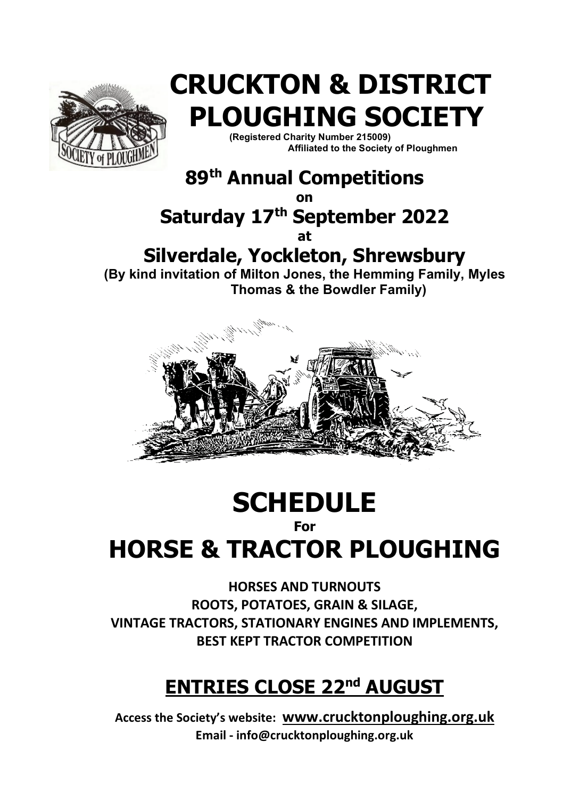

# **CRUCKTON & DISTRICT PLOUGHING SOCIETY (Registered Charity Number 215009)**

 **Affiliated to the Society of Ploughmen**

### **89th Annual Competitions**

**on**

### **Saturday 17th September 2022**

**at**

### **Silverdale, Yockleton, Shrewsbury**

**(By kind invitation of Milton Jones, the Hemming Family, Myles Thomas & the Bowdler Family)**



**SCHEDULE For**

# **HORSE & TRACTOR PLOUGHING**

**HORSES AND TURNOUTS ROOTS, POTATOES, GRAIN & SILAGE, VINTAGE TRACTORS, STATIONARY ENGINES AND IMPLEMENTS, BEST KEPT TRACTOR COMPETITION**

### **ENTRIES CLOSE 22nd AUGUST**

**Access the Society's website: [www.crucktonploughing.org.uk](http://www.ploughmen.co.uk/) Email - [info@crucktonploughing.org.uk](mailto:info@crucktonploughing.org.uk)**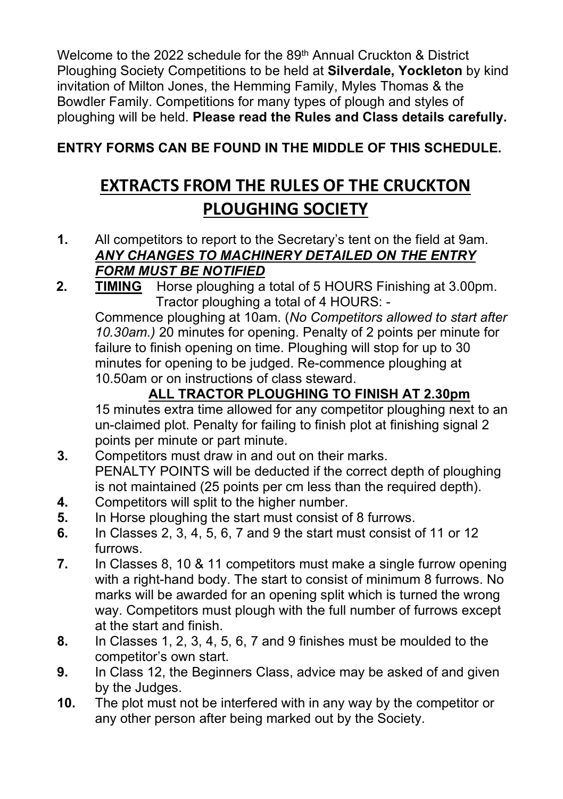Welcome to the 2022 schedule for the 89<sup>th</sup> Annual Cruckton & District Ploughing Society Competitions to be held at **Silverdale, Yockleton** by kind invitation of Milton Jones, the Hemming Family, Myles Thomas & the Bowdler Family. Competitions for many types of plough and styles of ploughing will be held. **Please read the Rules and Class details carefully.**

#### **ENTRY FORMS CAN BE FOUND IN THE MIDDLE OF THIS SCHEDULE.**

### **EXTRACTS FROM THE RULES OF THE CRUCKTON PLOUGHING SOCIETY**

- **1.** All competitors to report to the Secretary's tent on the field at 9am. *ANY CHANGES TO MACHINERY DETAILED ON THE ENTRY FORM MUST BE NOTIFIED*
- **2. TIMING** Horse ploughing a total of 5 HOURS Finishing at 3.00pm. Tractor ploughing a total of 4 HOURS: -

Commence ploughing at 10am. (*No Competitors allowed to start after 10.30am.)* 20 minutes for opening. Penalty of 2 points per minute for failure to finish opening on time. Ploughing will stop for up to 30 minutes for opening to be judged. Re-commence ploughing at 10.50am or on instructions of class steward.

#### **ALL TRACTOR PLOUGHING TO FINISH AT 2.30pm**

15 minutes extra time allowed for any competitor ploughing next to an un-claimed plot. Penalty for failing to finish plot at finishing signal 2 points per minute or part minute.

- **3.** Competitors must draw in and out on their marks. PENALTY POINTS will be deducted if the correct depth of ploughing is not maintained (25 points per cm less than the required depth).
- **4.** Competitors will split to the higher number.<br>**5.** In Horse ploughing the start must consist of
- **5.** In Horse ploughing the start must consist of 8 furrows.
- **6.** In Classes 2, 3, 4, 5, 6, 7 and 9 the start must consist of 11 or 12 furrows.
- **7.** In Classes 8, 10 & 11 competitors must make a single furrow opening with a right-hand body. The start to consist of minimum 8 furrows. No marks will be awarded for an opening split which is turned the wrong way. Competitors must plough with the full number of furrows except at the start and finish.
- **8.** In Classes 1, 2, 3, 4, 5, 6, 7 and 9 finishes must be moulded to the competitor's own start.
- **9.** In Class 12, the Beginners Class, advice may be asked of and given by the Judges.
- **10.** The plot must not be interfered with in any way by the competitor or any other person after being marked out by the Society.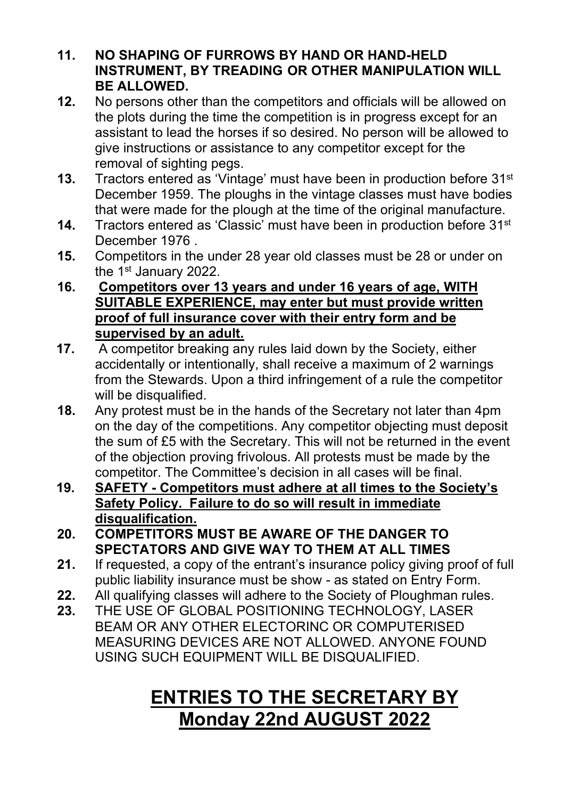#### **11. NO SHAPING OF FURROWS BY HAND OR HAND-HELD INSTRUMENT, BY TREADING OR OTHER MANIPULATION WILL BE ALLOWED.**

- **12.** No persons other than the competitors and officials will be allowed on the plots during the time the competition is in progress except for an assistant to lead the horses if so desired. No person will be allowed to give instructions or assistance to any competitor except for the removal of sighting pegs.
- **13.** Tractors entered as 'Vintage' must have been in production before 31<sup>st</sup> December 1959. The ploughs in the vintage classes must have bodies that were made for the plough at the time of the original manufacture.
- **14.** Tractors entered as 'Classic' must have been in production before 31st December 1976 .
- **15.** Competitors in the under 28 year old classes must be 28 or under on the 1st January 2022.

#### **16. Competitors over 13 years and under 16 years of age, WITH SUITABLE EXPERIENCE, may enter but must provide written proof of full insurance cover with their entry form and be supervised by an adult.**

- **17.** A competitor breaking any rules laid down by the Society, either accidentally or intentionally, shall receive a maximum of 2 warnings from the Stewards. Upon a third infringement of a rule the competitor will be disqualified.
- **18.** Any protest must be in the hands of the Secretary not later than 4pm on the day of the competitions. Any competitor objecting must deposit the sum of £5 with the Secretary. This will not be returned in the event of the objection proving frivolous. All protests must be made by the competitor. The Committee's decision in all cases will be final.
- **19. SAFETY - Competitors must adhere at all times to the Society's Safety Policy. Failure to do so will result in immediate disqualification.**
- **20. COMPETITORS MUST BE AWARE OF THE DANGER TO SPECTATORS AND GIVE WAY TO THEM AT ALL TIMES**
- **21.** If requested, a copy of the entrant's insurance policy giving proof of full public liability insurance must be show - as stated on Entry Form.
- **22.** All qualifying classes will adhere to the Society of Ploughman rules.<br>**23.** THE USE OF GLOBAL POSITIONING TECHNOLOGY, LASER
- **23.** THE USE OF GLOBAL POSITIONING TECHNOLOGY, LASER BEAM OR ANY OTHER ELECTORINC OR COMPUTERISED MEASURING DEVICES ARE NOT ALLOWED. ANYONE FOUND USING SUCH EQUIPMENT WILL BE DISQUALIFIED.

### **ENTRIES TO THE SECRETARY BY Monday 22nd AUGUST 2022**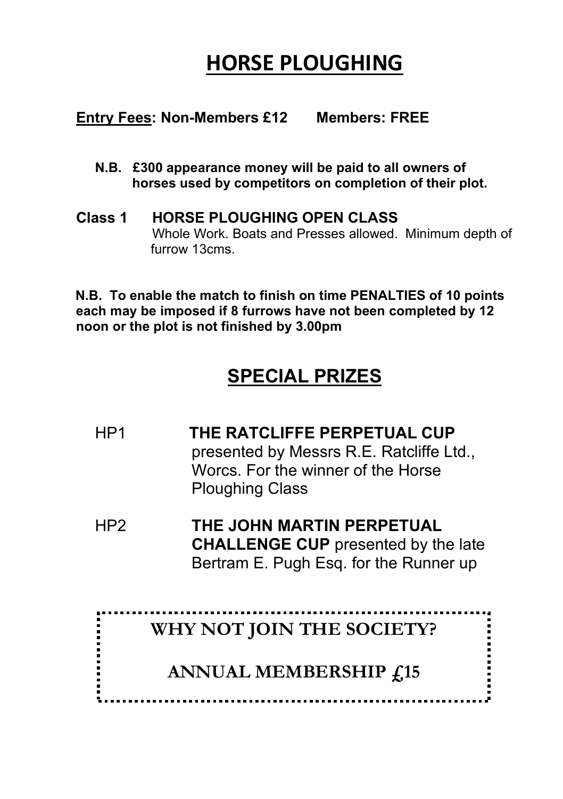### **HORSE PLOUGHING**

**Entry Fees: Non-Members £12 Members: FREE**

- **N.B. £300 appearance money will be paid to all owners of horses used by competitors on completion of their plot.**
- **Class 1 HORSE PLOUGHING OPEN CLASS** Whole Work. Boats and Presses allowed. Minimum depth of furrow 13cms.

 **N.B. To enable the match to finish on time PENALTIES of 10 points each may be imposed if 8 furrows have not been completed by 12 noon or the plot is not finished by 3.00pm**

### **SPECIAL PRIZES**

HP1 **THE RATCLIFFE PERPETUAL CUP** presented by Messrs R.E. Ratcliffe Ltd., Worcs. For the winner of the Horse Ploughing Class HP2 **THE JOHN MARTIN PERPETUAL CHALLENGE CUP** presented by the late Bertram E. Pugh Esq. for the Runner up **WHY NOT JOIN THE SOCIETY? ANNUAL MEMBERSHIP £15**.............................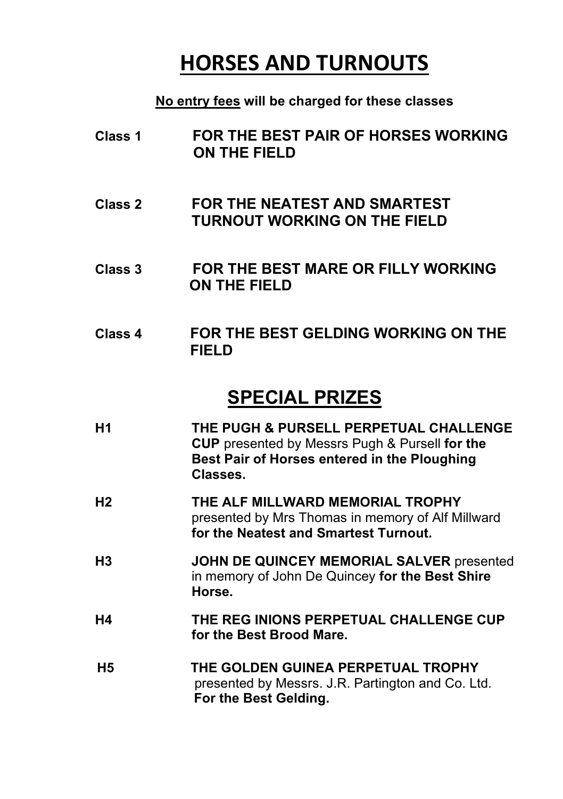### **HORSES AND TURNOUTS**

**No entry fees will be charged for these classes**

- **Class 1 FOR THE BEST PAIR OF HORSES WORKING ON THE FIELD**
- **Class 2 FOR THE NEATEST AND SMARTEST TURNOUT WORKING ON THE FIELD**
- **Class 3 FOR THE BEST MARE OR FILLY WORKING ON THE FIELD**
- **Class 4 FOR THE BEST GELDING WORKING ON THE FIELD**

### **SPECIAL PRIZES**

| <b>H1</b>      | THE PUGH & PURSELL PERPETUAL CHALLENGE<br><b>CUP</b> presented by Messrs Pugh & Pursell for the<br>Best Pair of Horses entered in the Ploughing<br>Classes. |
|----------------|-------------------------------------------------------------------------------------------------------------------------------------------------------------|
| H <sub>2</sub> | THE ALF MILLWARD MEMORIAL TROPHY<br>presented by Mrs Thomas in memory of Alf Millward<br>for the Neatest and Smartest Turnout.                              |
| H <sub>3</sub> | JOHN DE QUINCEY MEMORIAL SALVER presented<br>in memory of John De Quincey for the Best Shire<br>Horse.                                                      |
| Η4             | THE REG INIONS PERPETUAL CHALLENGE CUP<br>for the Best Brood Mare.                                                                                          |
| H5             | THE GOLDEN GUINEA PERPETUAL TROPHY<br>presented by Messrs. J.R. Partington and Co. Ltd.<br>For the Best Gelding.                                            |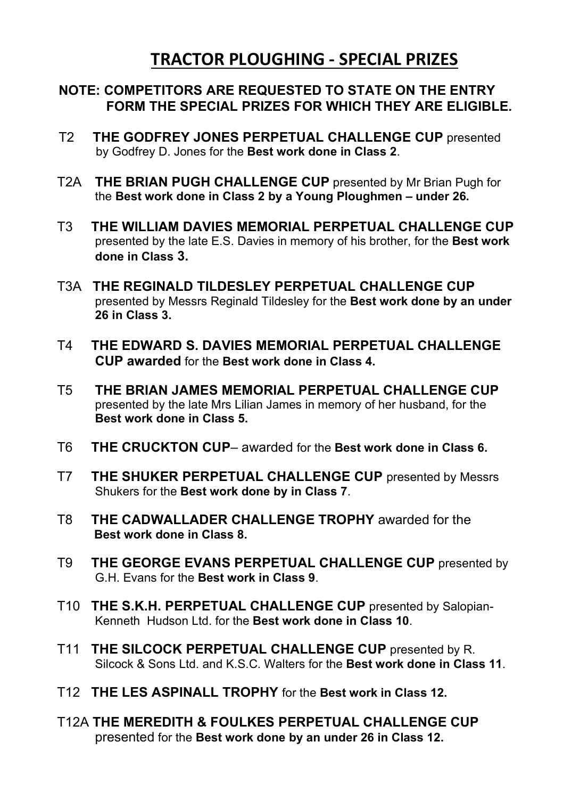#### **TRACTOR PLOUGHING - SPECIAL PRIZES**

#### **NOTE: COMPETITORS ARE REQUESTED TO STATE ON THE ENTRY FORM THE SPECIAL PRIZES FOR WHICH THEY ARE ELIGIBLE***.*

- T2 **THE GODFREY JONES PERPETUAL CHALLENGE CUP** presented by Godfrey D. Jones for the **Best work done in Class 2**.
- T2A **THE BRIAN PUGH CHALLENGE CUP** presented by Mr Brian Pugh for the **Best work done in Class 2 by a Young Ploughmen – under 26.**
- T3 **THE WILLIAM DAVIES MEMORIAL PERPETUAL CHALLENGE CUP** presented by the late E.S. Davies in memory of his brother, for the **Best work done in Class 3.**
- T3A **THE REGINALD TILDESLEY PERPETUAL CHALLENGE CUP**  presented by Messrs Reginald Tildesley for the **Best work done by an under 26 in Class 3.**
- T4 **THE EDWARD S. DAVIES MEMORIAL PERPETUAL CHALLENGE CUP awarded** for the **Best work done in Class 4.**
- T5 **THE BRIAN JAMES MEMORIAL PERPETUAL CHALLENGE CUP** presented by the late Mrs Lilian James in memory of her husband, for the **Best work done in Class 5.**
- T6 **THE CRUCKTON CUP** awarded for the **Best work done in Class 6.**
- T7 **THE SHUKER PERPETUAL CHALLENGE CUP** presented by Messrs Shukers for the **Best work done by in Class 7**.
- T8 **THE CADWALLADER CHALLENGE TROPHY** awarded for the **Best work done in Class 8.**
- T9 **THE GEORGE EVANS PERPETUAL CHALLENGE CUP** presented by G.H. Evans for the **Best work in Class 9**.
- T10 **THE S.K.H. PERPETUAL CHALLENGE CUP** presented by Salopian-Kenneth Hudson Ltd. for the **Best work done in Class 10**.
- T11 **THE SILCOCK PERPETUAL CHALLENGE CUP** presented by R. Silcock & Sons Ltd. and K.S.C. Walters for the **Best work done in Class 11**.
- T12 **THE LES ASPINALL TROPHY** for the **Best work in Class 12.**
- T12A **THE MEREDITH & FOULKES PERPETUAL CHALLENGE CUP** presented for the **Best work done by an under 26 in Class 12.**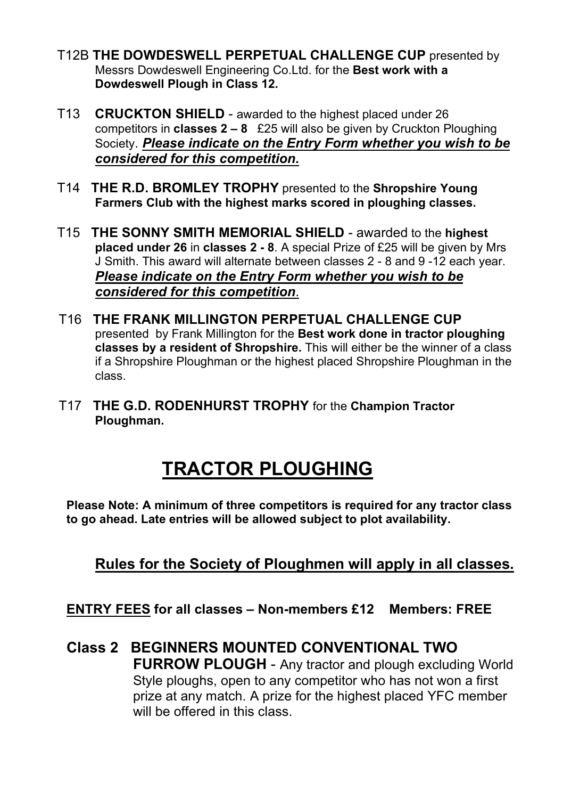- T12B **THE DOWDESWELL PERPETUAL CHALLENGE CUP** presented by Messrs Dowdeswell Engineering Co.Ltd. for the **Best work with a Dowdeswell Plough in Class 12.**
- T13 **CRUCKTON SHIELD** awarded to the highest placed under 26 competitors in **classes 2 – 8** £25 will also be given by Cruckton Ploughing Society. *Please indicate on the Entry Form whether you wish to be considered for this competition.*
- T14 **THE R.D. BROMLEY TROPHY** presented to the **Shropshire Young Farmers Club with the highest marks scored in ploughing classes.**
- T15 **THE SONNY SMITH MEMORIAL SHIELD** awarded to the **highest placed under 26** in **classes 2 - 8**. A special Prize of £25 will be given by Mrs J Smith. This award will alternate between classes 2 - 8 and 9 -12 each year. *Please indicate on the Entry Form whether you wish to be considered for this competition*.
- T16 **THE FRANK MILLINGTON PERPETUAL CHALLENGE CUP** presented by Frank Millington for the **Best work done in tractor ploughing classes by a resident of Shropshire.** This will either be the winner of a class if a Shropshire Ploughman or the highest placed Shropshire Ploughman in the class.
- T17 **THE G.D. RODENHURST TROPHY** for the **Champion Tractor Ploughman.**

### **TRACTOR PLOUGHING**

**Please Note: A minimum of three competitors is required for any tractor class to go ahead. Late entries will be allowed subject to plot availability.**

**Rules for the Society of Ploughmen will apply in all classes.**

**ENTRY FEES for all classes – Non-members £12 Members: FREE**

**Class 2 BEGINNERS MOUNTED CONVENTIONAL TWO FURROW PLOUGH** - Any tractor and plough excluding World Style ploughs, open to any competitor who has not won a first prize at any match. A prize for the highest placed YFC member will be offered in this class.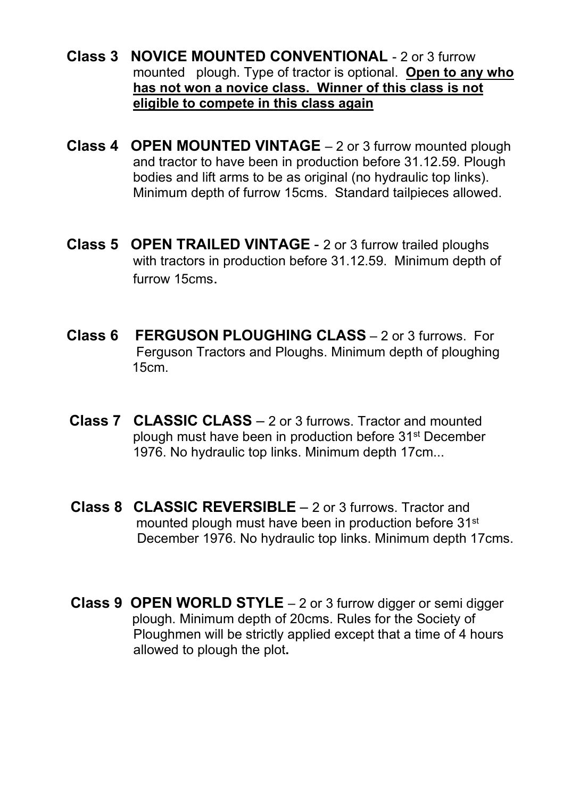- **Class 3 NOVICE MOUNTED CONVENTIONAL** 2 or 3 furrow mounted plough. Type of tractor is optional. **Open to any who has not won a novice class. Winner of this class is not eligible to compete in this class again**
- **Class 4 OPEN MOUNTED VINTAGE** 2 or 3 furrow mounted plough and tractor to have been in production before 31.12.59. Plough bodies and lift arms to be as original (no hydraulic top links). Minimum depth of furrow 15cms. Standard tailpieces allowed.
- **Class 5 OPEN TRAILED VINTAGE** 2 or 3 furrow trailed ploughs with tractors in production before 31.12.59. Minimum depth of furrow 15cms.
- **Class 6 FERGUSON PLOUGHING CLASS** 2 or 3 furrows. For Ferguson Tractors and Ploughs. Minimum depth of ploughing 15cm.
- **Class 7 CLASSIC CLASS** 2 or 3 furrows. Tractor and mounted plough must have been in production before 31st December 1976. No hydraulic top links. Minimum depth 17cm...
- **Class 8 CLASSIC REVERSIBLE** 2 or 3 furrows. Tractor and mounted plough must have been in production before 31st December 1976. No hydraulic top links. Minimum depth 17cms.
- **Class 9 OPEN WORLD STYLE** 2 or 3 furrow digger or semi digger plough. Minimum depth of 20cms. Rules for the Society of Ploughmen will be strictly applied except that a time of 4 hours allowed to plough the plot**.**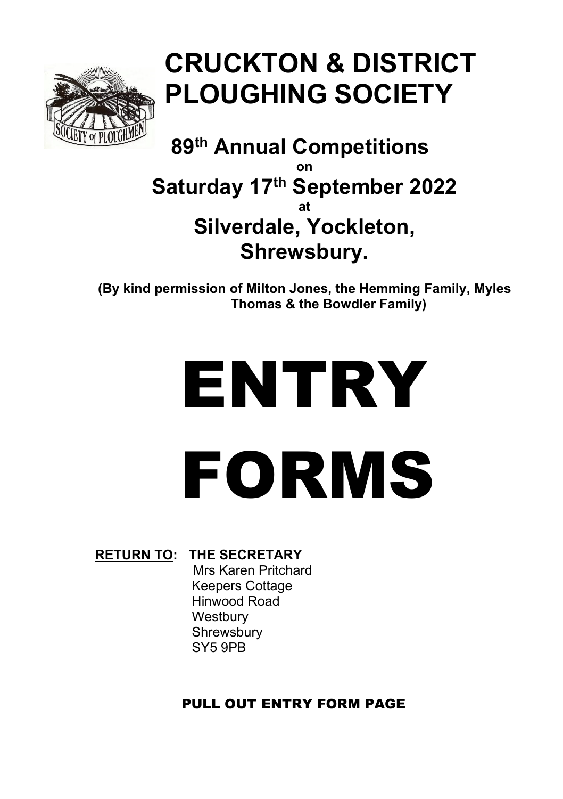

**89th Annual Competitions on Saturday 17th September 2022 at Silverdale, Yockleton, Shrewsbury.**

**(By kind permission of Milton Jones, the Hemming Family, Myles Thomas & the Bowdler Family)**

# ENTRY FORMS

#### **RETURN TO: THE SECRETARY**

Mrs Karen Pritchard Keepers Cottage Hinwood Road **Westbury Shrewsbury** SY5 9PB

#### **PULL OUT ENTRY FORM PAGE**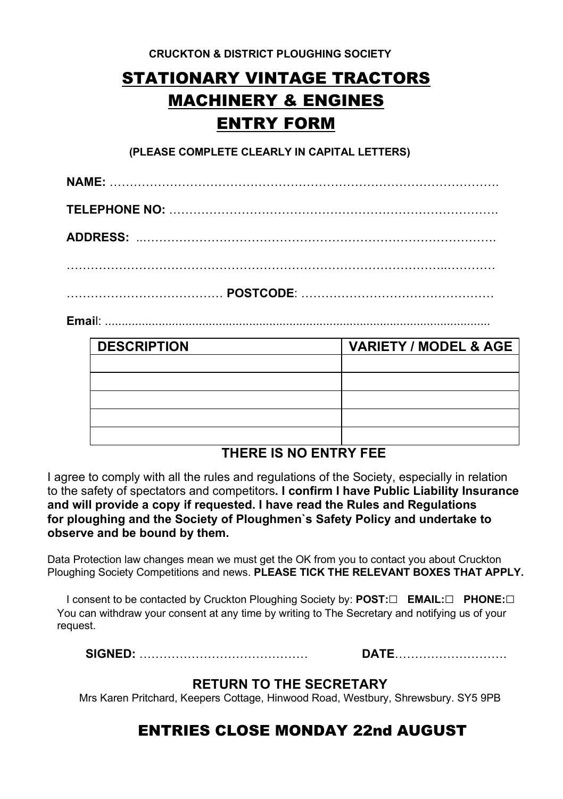### STATIONARY VINTAGE TRACTORS MACHINERY & ENGINES ENTRY FORM

 **(PLEASE COMPLETE CLEARLY IN CAPITAL LETTERS)**

| <b>POSTCODE:</b> |
|------------------|

**Emai**l: ...................................................................................................................

| <b>DESCRIPTION</b> | <b>VARIETY / MODEL &amp; AGE</b> |
|--------------------|----------------------------------|
|                    |                                  |
|                    |                                  |
|                    |                                  |
|                    |                                  |
|                    |                                  |

#### **THERE IS NO ENTRY FEE**

I agree to comply with all the rules and regulations of the Society, especially in relation to the safety of spectators and competitors**. I confirm I have Public Liability Insurance and will provide a copy if requested. I have read the Rules and Regulations for ploughing and the Society of Ploughmen`s Safety Policy and undertake to observe and be bound by them.**

Data Protection law changes mean we must get the OK from you to contact you about Cruckton Ploughing Society Competitions and news. **PLEASE TICK THE RELEVANT BOXES THAT APPLY.**

I consent to be contacted by Cruckton Ploughing Society by: **POST:□ EMAIL:□ PHONE:□** You can withdraw your consent at any time by writing to The Secretary and notifying us of your request.

**SIGNED:** …………………………………… **DATE**……………………….

#### **RETURN TO THE SECRETARY**

Mrs Karen Pritchard, Keepers Cottage, Hinwood Road, Westbury, Shrewsbury. SY5 9PB

#### ENTRIES CLOSE MONDAY 22nd AUGUST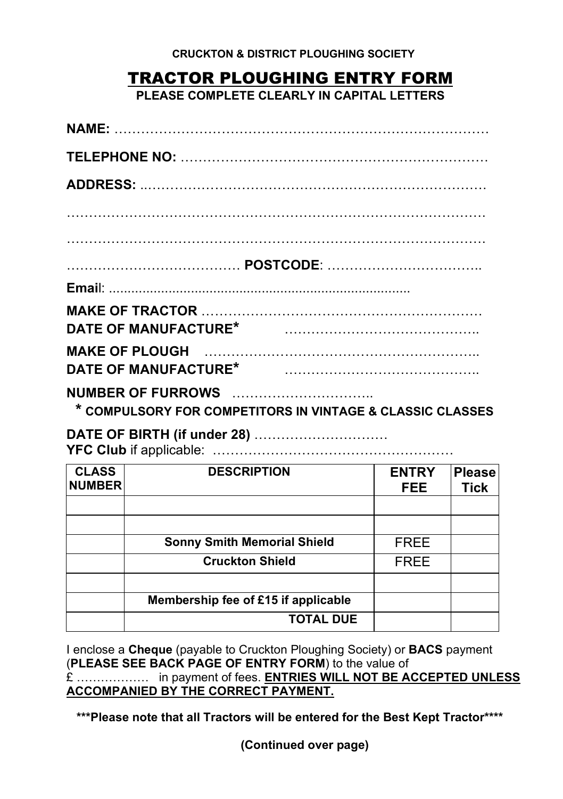#### TRACTOR PLOUGHING ENTRY FORM

**PLEASE COMPLETE CLEARLY IN CAPITAL LETTERS**

| NUMBER OF FURROWS<br><b>A CONDULACTY FOR CONDETIFORA IN WITA OF 8 OL 19910 OL 19950</b> |
|-----------------------------------------------------------------------------------------|

 **\* COMPULSORY FOR COMPETITORS IN VINTAGE & CLASSIC CLASSES**

**DATE OF BIRTH (if under 28)** ………………………… **YFC Club** if applicable: ………………………………………………

| <b>CLASS</b><br><b>NUMBER</b> | <b>DESCRIPTION</b>                  | <b>ENTRY</b><br><b>FEE</b> | <b>Please</b><br><b>Tick</b> |
|-------------------------------|-------------------------------------|----------------------------|------------------------------|
|                               |                                     |                            |                              |
|                               |                                     |                            |                              |
|                               | <b>Sonny Smith Memorial Shield</b>  | <b>FREE</b>                |                              |
|                               | <b>Cruckton Shield</b>              | <b>FREE</b>                |                              |
|                               |                                     |                            |                              |
|                               | Membership fee of £15 if applicable |                            |                              |
|                               | <b>TOTAL DUE</b>                    |                            |                              |

I enclose a **Cheque** (payable to Cruckton Ploughing Society) or **BACS** payment (**PLEASE SEE BACK PAGE OF ENTRY FORM**) to the value of £ ……………… in payment of fees. **ENTRIES WILL NOT BE ACCEPTED UNLESS ACCOMPANIED BY THE CORRECT PAYMENT.** 

**\*\*\*Please note that all Tractors will be entered for the Best Kept Tractor\*\*\*\***

**(Continued over page)**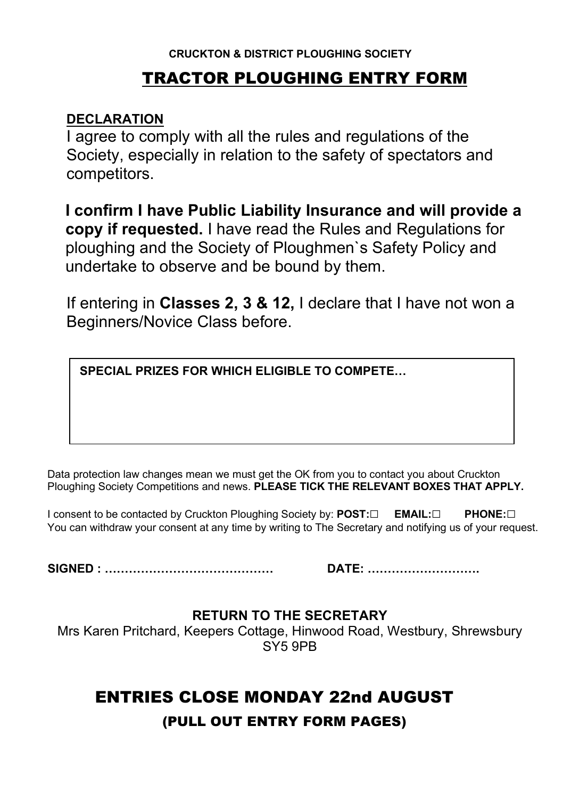#### TRACTOR PLOUGHING ENTRY FORM

#### **DECLARATION**

I agree to comply with all the rules and regulations of the Society, especially in relation to the safety of spectators and competitors.

 **I confirm I have Public Liability Insurance and will provide a copy if requested.** I have read the Rules and Regulations for ploughing and the Society of Ploughmen`s Safety Policy and undertake to observe and be bound by them.

If entering in **Classes 2, 3 & 12,** I declare that I have not won a Beginners/Novice Class before.

**SPECIAL PRIZES FOR WHICH ELIGIBLE TO COMPETE…**

Data protection law changes mean we must get the OK from you to contact you about Cruckton Ploughing Society Competitions and news. **PLEASE TICK THE RELEVANT BOXES THAT APPLY.**

I consent to be contacted by Cruckton Ploughing Society by: **POST:□ EMAIL:□ PHONE:□** You can withdraw your consent at any time by writing to The Secretary and notifying us of your request.

**SIGNED : …………………………………… DATE: ……………………….**

#### **RETURN TO THE SECRETARY**

Mrs Karen Pritchard, Keepers Cottage, Hinwood Road, Westbury, Shrewsbury SY5 9PB

#### ENTRIES CLOSE MONDAY 22nd AUGUST

#### (PULL OUT ENTRY FORM PAGES)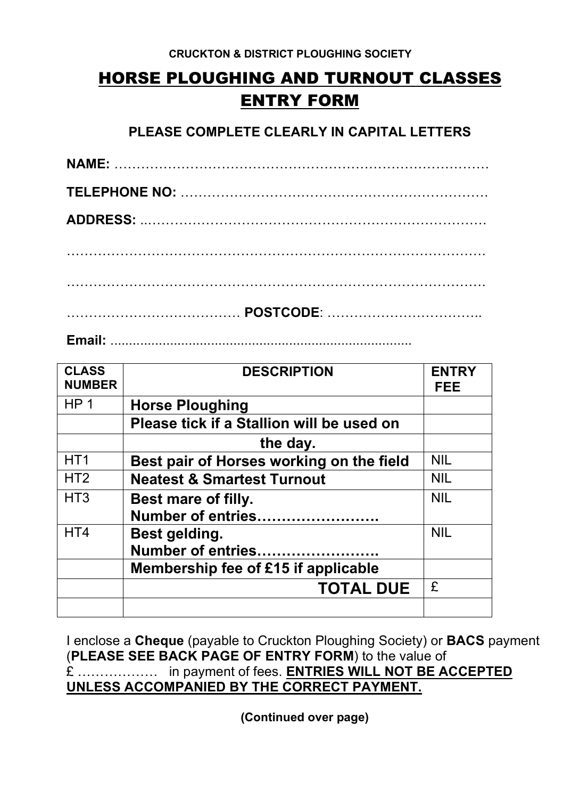### HORSE PLOUGHING AND TURNOUT CLASSES ENTRY FORM

#### **PLEASE COMPLETE CLEARLY IN CAPITAL LETTERS**

| <b>CLASS</b><br><b>NUMBER</b> | <b>DESCRIPTION</b>                        | <b>ENTRY</b><br>FEE |
|-------------------------------|-------------------------------------------|---------------------|
| HP <sub>1</sub>               | <b>Horse Ploughing</b>                    |                     |
|                               | Please tick if a Stallion will be used on |                     |
|                               | the day.                                  |                     |
| HT <sub>1</sub>               | Best pair of Horses working on the field  | <b>NIL</b>          |
| HT <sub>2</sub>               | <b>Neatest &amp; Smartest Turnout</b>     | <b>NIL</b>          |
| HT <sub>3</sub>               | Best mare of filly.                       | <b>NIL</b>          |
|                               | <b>Number of entries</b>                  |                     |
| HT4                           | Best gelding.                             | <b>NIL</b>          |
|                               | <b>Number of entries</b>                  |                     |
|                               | Membership fee of £15 if applicable       |                     |
|                               | <b>TOTAL DUE</b>                          | £                   |
|                               |                                           |                     |

I enclose a **Cheque** (payable to Cruckton Ploughing Society) or **BACS** payment (**PLEASE SEE BACK PAGE OF ENTRY FORM**) to the value of £ ……………… in payment of fees. **ENTRIES WILL NOT BE ACCEPTED UNLESS ACCOMPANIED BY THE CORRECT PAYMENT.**

**(Continued over page)**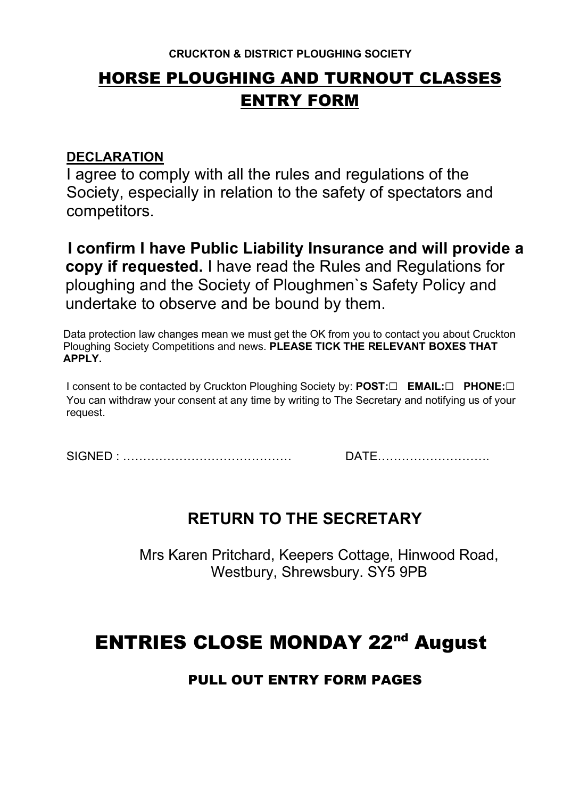### HORSE PLOUGHING AND TURNOUT CLASSES ENTRY FORM

#### **DECLARATION**

I agree to comply with all the rules and regulations of the Society, especially in relation to the safety of spectators and competitors.

 **I confirm I have Public Liability Insurance and will provide a copy if requested.** I have read the Rules and Regulations for ploughing and the Society of Ploughmen`s Safety Policy and undertake to observe and be bound by them.

 Data protection law changes mean we must get the OK from you to contact you about Cruckton Ploughing Society Competitions and news. **PLEASE TICK THE RELEVANT BOXES THAT APPLY.**

I consent to be contacted by Cruckton Ploughing Society by: **POST:□ EMAIL:□ PHONE:□** You can withdraw your consent at any time by writing to The Secretary and notifying us of your request.

SIGNED : …………………………………… DATE……………………….

#### **RETURN TO THE SECRETARY**

Mrs Karen Pritchard, Keepers Cottage, Hinwood Road, Westbury, Shrewsbury. SY5 9PB

### **ENTRIES CLOSE MONDAY 22<sup>nd</sup> August**

#### PULL OUT ENTRY FORM PAGES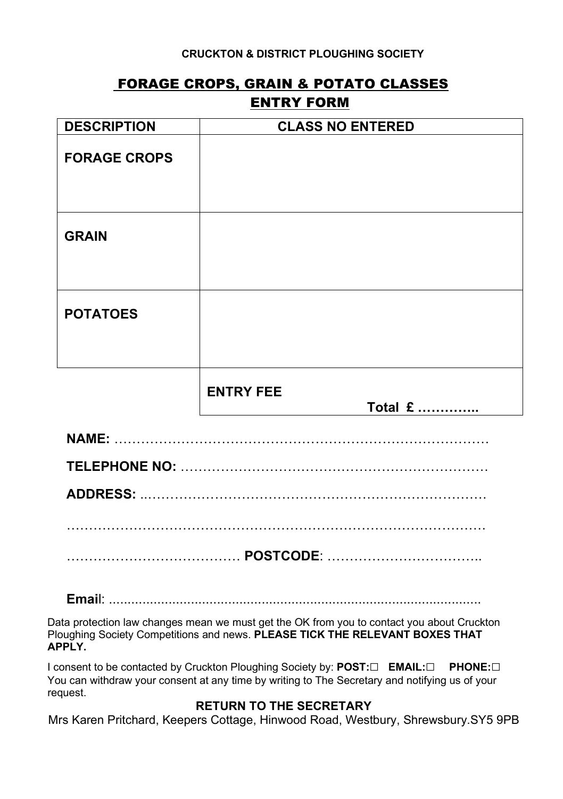#### FORAGE CROPS, GRAIN & POTATO CLASSES ENTRY FORM

| <b>DESCRIPTION</b>  | <b>CLASS NO ENTERED</b> |
|---------------------|-------------------------|
| <b>FORAGE CROPS</b> |                         |
| <b>GRAIN</b>        |                         |
|                     |                         |
| <b>POTATOES</b>     |                         |
|                     |                         |
|                     | <b>ENTRY FEE</b>        |
|                     | Total £                 |
|                     |                         |
|                     |                         |
|                     |                         |
|                     |                         |

………………………………… **POSTCODE**: ……………………………..

**Emai**l: ....................................................................................................

Data protection law changes mean we must get the OK from you to contact you about Cruckton Ploughing Society Competitions and news. **PLEASE TICK THE RELEVANT BOXES THAT APPLY.**

I consent to be contacted by Cruckton Ploughing Society by: **POST:□ EMAIL:□ PHONE:□** You can withdraw your consent at any time by writing to The Secretary and notifying us of your request.

#### **RETURN TO THE SECRETARY**

Mrs Karen Pritchard, Keepers Cottage, Hinwood Road, Westbury, Shrewsbury.SY5 9PB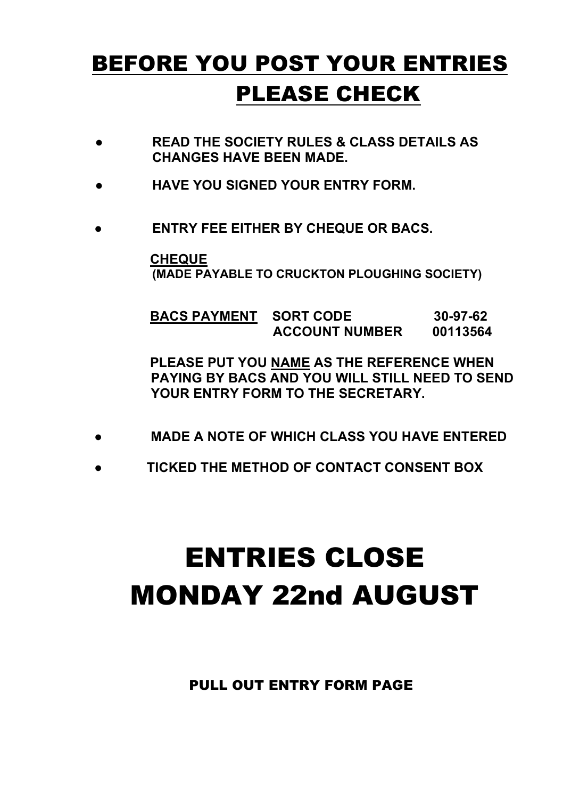### BEFORE YOU POST YOUR ENTRIES PLEASE CHECK

- **● READ THE SOCIETY RULES & CLASS DETAILS AS CHANGES HAVE BEEN MADE.**
- **● HAVE YOU SIGNED YOUR ENTRY FORM.**
- **ENTRY FEE EITHER BY CHEQUE OR BACS.**

 **CHEQUE (MADE PAYABLE TO CRUCKTON PLOUGHING SOCIETY)**

**BACS PAYMENT SORT CODE 30-97-62**<br>ACCOUNT NUMBER 00113564 **ACCOUNT NUMBER** 

 **PLEASE PUT YOU NAME AS THE REFERENCE WHEN PAYING BY BACS AND YOU WILL STILL NEED TO SEND YOUR ENTRY FORM TO THE SECRETARY.**

- **● MADE A NOTE OF WHICH CLASS YOU HAVE ENTERED**
- **● TICKED THE METHOD OF CONTACT CONSENT BOX**

# ENTRIES CLOSE MONDAY 22nd AUGUST

PULL OUT ENTRY FORM PAGE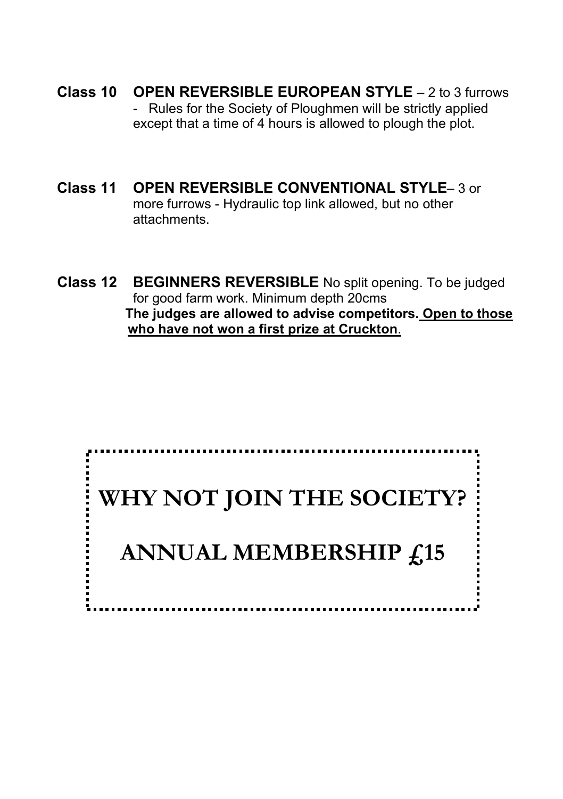- **Class 10 OPEN REVERSIBLE EUROPEAN STYLE** 2 to 3 furrows - Rules for the Society of Ploughmen will be strictly applied except that a time of 4 hours is allowed to plough the plot.
- **Class 11 OPEN REVERSIBLE CONVENTIONAL STYLE** 3 or more furrows - Hydraulic top link allowed, but no other attachments.
- **Class 12 BEGINNERS REVERSIBLE** No split opening. To be judged for good farm work. Minimum depth 20cms  **The judges are allowed to advise competitors. Open to those who have not won a first prize at Cruckton**.

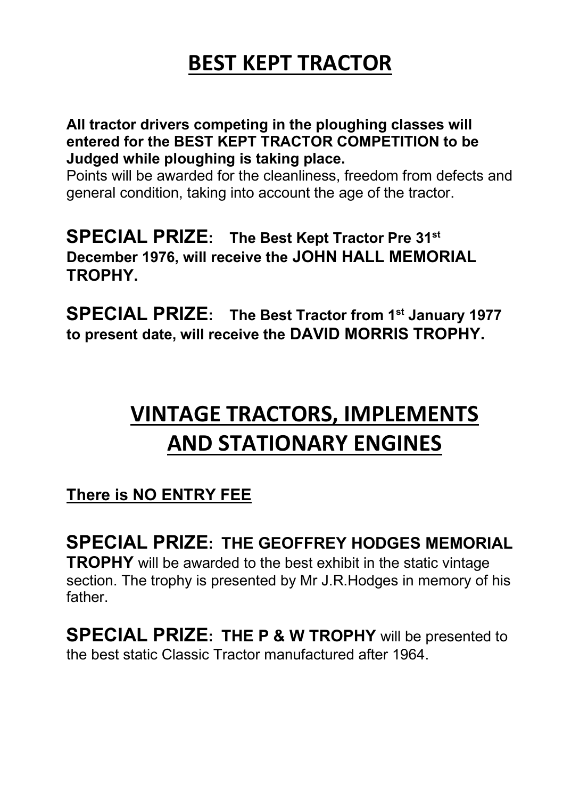### **BEST KEPT TRACTOR**

**All tractor drivers competing in the ploughing classes will entered for the BEST KEPT TRACTOR COMPETITION to be Judged while ploughing is taking place.**

Points will be awarded for the cleanliness, freedom from defects and general condition, taking into account the age of the tractor.

#### **SPECIAL PRIZE: The Best Kept Tractor Pre 31st December 1976, will receive the JOHN HALL MEMORIAL TROPHY.**

**SPECIAL PRIZE: The Best Tractor from 1st January 1977 to present date, will receive the DAVID MORRIS TROPHY.**

### **VINTAGE TRACTORS, IMPLEMENTS AND STATIONARY ENGINES**

**There is NO ENTRY FEE**

**SPECIAL PRIZE: THE GEOFFREY HODGES MEMORIAL TROPHY** will be awarded to the best exhibit in the static vintage section. The trophy is presented by Mr J.R.Hodges in memory of his

father.

**SPECIAL PRIZE: THE P & W TROPHY** will be presented to the best static Classic Tractor manufactured after 1964.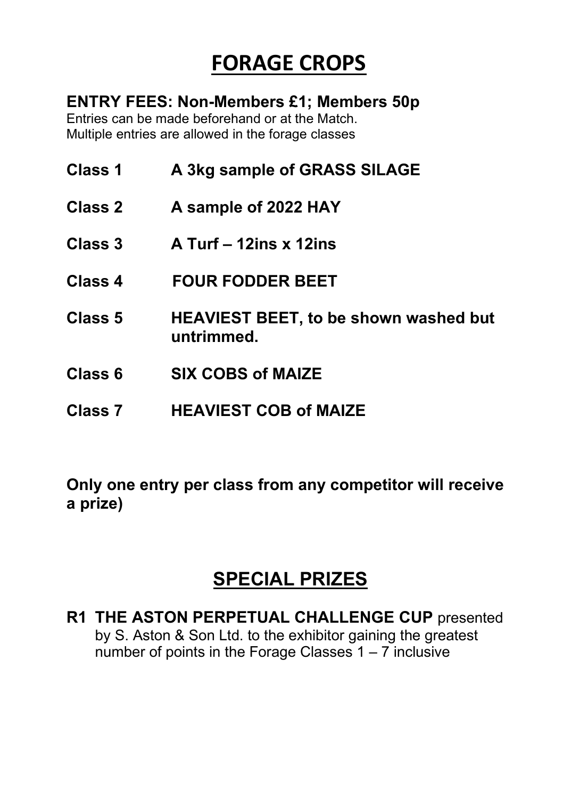### **FORAGE CROPS**

#### **ENTRY FEES: Non-Members £1; Members 50p**

Entries can be made beforehand or at the Match. Multiple entries are allowed in the forage classes

**Class 1 A 3kg sample of GRASS SILAGE Class 2 A sample of 2022 HAY Class 3 A Turf – 12ins x 12ins Class 4 FOUR FODDER BEET Class 5 HEAVIEST BEET, to be shown washed but untrimmed. Class 6 SIX COBS of MAIZE Class 7 HEAVIEST COB of MAIZE**

**Only one entry per class from any competitor will receive a prize)**

### **SPECIAL PRIZES**

**R1 THE ASTON PERPETUAL CHALLENGE CUP** presented by S. Aston & Son Ltd. to the exhibitor gaining the greatest number of points in the Forage Classes 1 – 7 inclusive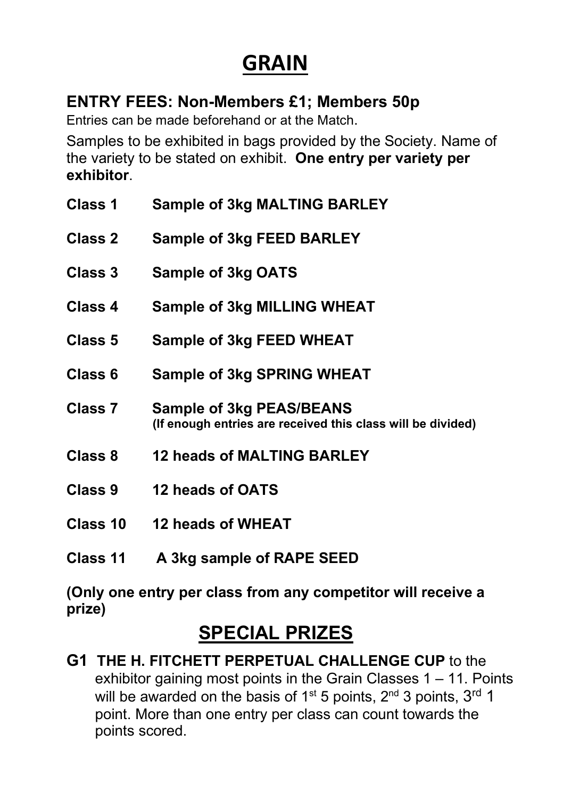### **GRAIN**

#### **ENTRY FEES: Non-Members £1; Members 50p**

Entries can be made beforehand or at the Match.

Samples to be exhibited in bags provided by the Society. Name of the variety to be stated on exhibit. **One entry per variety per exhibitor**.

| <b>Class 1</b>     | <b>Sample of 3kg MALTING BARLEY</b>                                                            |
|--------------------|------------------------------------------------------------------------------------------------|
| <b>Class 2</b>     | <b>Sample of 3kg FEED BARLEY</b>                                                               |
| Class 3            | <b>Sample of 3kg OATS</b>                                                                      |
| Class 4            | <b>Sample of 3kg MILLING WHEAT</b>                                                             |
| Class 5            | <b>Sample of 3kg FEED WHEAT</b>                                                                |
| Class <sub>6</sub> | <b>Sample of 3kg SPRING WHEAT</b>                                                              |
| <b>Class 7</b>     | <b>Sample of 3kg PEAS/BEANS</b><br>(If enough entries are received this class will be divided) |
| Class 8            | <b>12 heads of MALTING BARLEY</b>                                                              |
| <b>Class 9</b>     | 12 heads of OATS                                                                               |
| Class 10           | 12 heads of WHEAT                                                                              |
| <b>Class 11</b>    | A 3kg sample of RAPE SEED                                                                      |

**(Only one entry per class from any competitor will receive a prize)**

### **SPECIAL PRIZES**

**G1 THE H. FITCHETT PERPETUAL CHALLENGE CUP** to the exhibitor gaining most points in the Grain Classes 1 – 11. Points will be awarded on the basis of  $1^{st}$  5 points,  $2^{nd}$  3 points,  $3^{rd}$  1 point. More than one entry per class can count towards the points scored.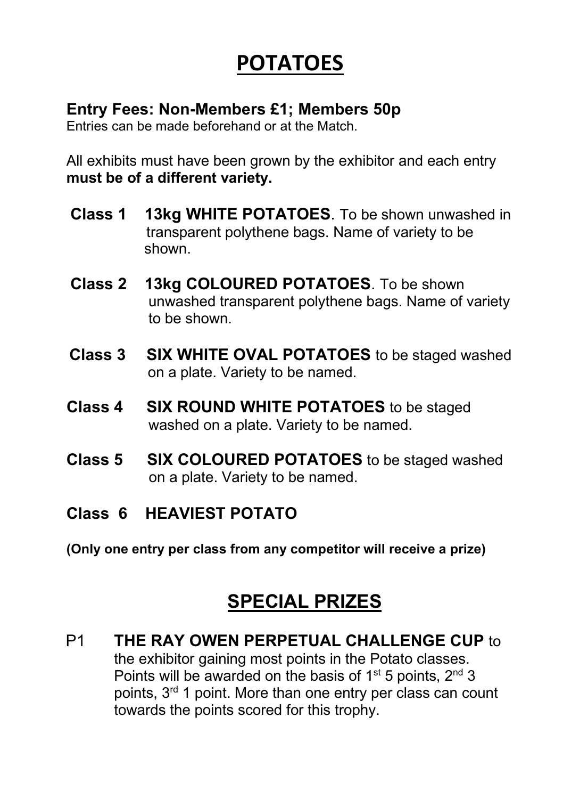### **POTATOES**

#### **Entry Fees: Non-Members £1; Members 50p**

Entries can be made beforehand or at the Match.

All exhibits must have been grown by the exhibitor and each entry **must be of a different variety.**

- **Class 1 13kg WHITE POTATOES**. To be shown unwashed in transparent polythene bags. Name of variety to be shown.
- **Class 2 13kg COLOURED POTATOES**. To be shown unwashed transparent polythene bags. Name of variety to be shown.
- **Class 3 SIX WHITE OVAL POTATOES** to be staged washed on a plate. Variety to be named.
- **Class 4 SIX ROUND WHITE POTATOES** to be staged washed on a plate. Variety to be named.
- **Class 5 SIX COLOURED POTATOES** to be staged washed on a plate. Variety to be named.
- **Class 6 HEAVIEST POTATO**

**(Only one entry per class from any competitor will receive a prize)**

### **SPECIAL PRIZES**

P1 **THE RAY OWEN PERPETUAL CHALLENGE CUP** to the exhibitor gaining most points in the Potato classes. Points will be awarded on the basis of  $1<sup>st</sup> 5$  points,  $2<sup>nd</sup> 3$ points. 3<sup>rd</sup> 1 point. More than one entry per class can count towards the points scored for this trophy.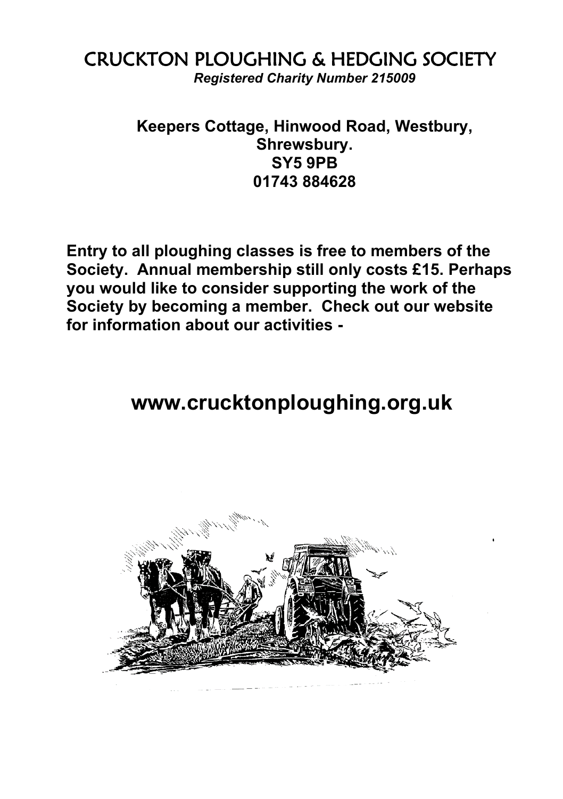### CRUCKTON PLOUGHING & HEDGING SOCIETY

*Registered Charity Number 215009*

#### **Keepers Cottage, Hinwood Road, Westbury, Shrewsbury. SY5 9PB 01743 884628**

**Entry to all ploughing classes is free to members of the Society. Annual membership still only costs £15. Perhaps you would like to consider supporting the work of the Society by becoming a member. Check out our website for information about our activities -**

### **www.crucktonploughing.org.uk**

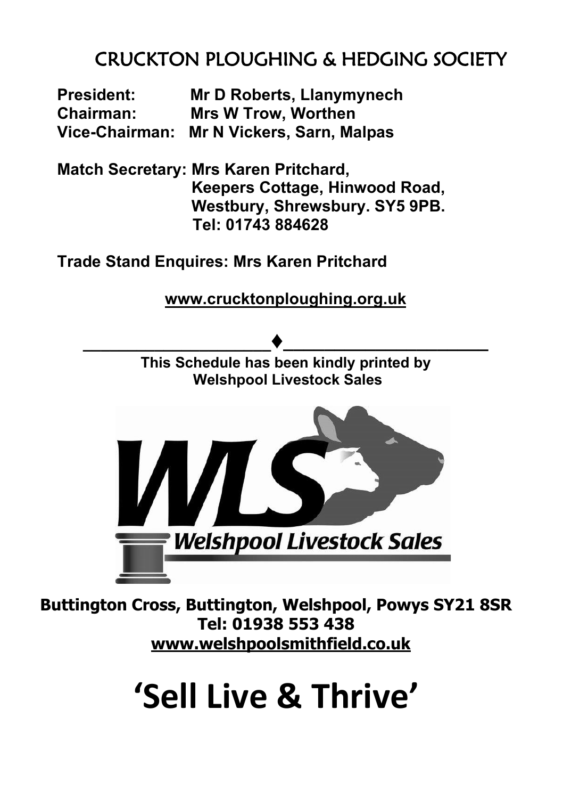### CRUCKTON PLOUGHING & HEDGING SOCIETY

**President: Mr D Roberts, Llanymynech Mrs W Trow, Worthen Vice-Chairman: Mr N Vickers, Sarn, Malpas**

**Match Secretary: Mrs Karen Pritchard, Keepers Cottage, Hinwood Road, Westbury, Shrewsbury. SY5 9PB. Tel: 01743 884628**

**Trade Stand Enquires: Mrs Karen Pritchard**

**[www.crucktonploughing.org.uk](http://www.crucktonploughing.org.uk/)**



**Buttington Cross, Buttington, Welshpool, Powys SY21 8SR Tel: 01938 553 438 [www.welshpoolsmithfield.co.uk](http://www.welshpoolsmithfield.co.uk/)**

# **'Sell Live & Thrive'**